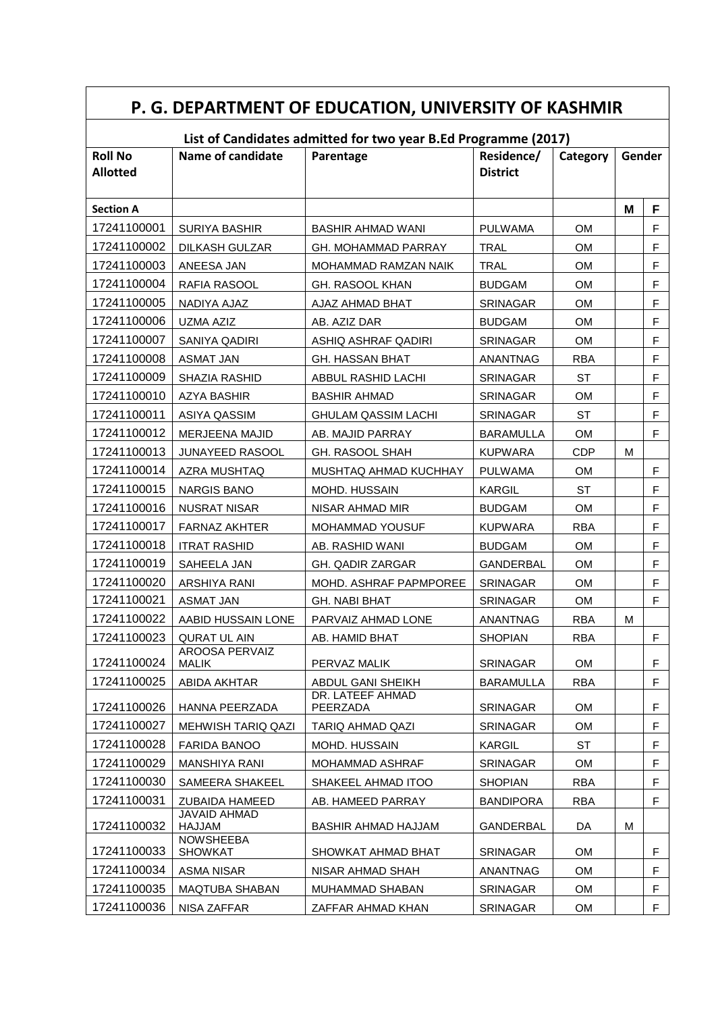| P. G. DEPARTMENT OF EDUCATION, UNIVERSITY OF KASHMIR |                                    |                                                                |                               |            |        |             |  |
|------------------------------------------------------|------------------------------------|----------------------------------------------------------------|-------------------------------|------------|--------|-------------|--|
|                                                      |                                    | List of Candidates admitted for two year B.Ed Programme (2017) |                               |            |        |             |  |
| <b>Roll No</b><br><b>Allotted</b>                    | Name of candidate                  | Parentage                                                      | Residence/<br><b>District</b> | Category   | Gender |             |  |
| <b>Section A</b>                                     |                                    |                                                                |                               |            | M      | F           |  |
| 17241100001                                          | <b>SURIYA BASHIR</b>               | <b>BASHIR AHMAD WANI</b>                                       | <b>PULWAMA</b>                | <b>OM</b>  |        | F           |  |
| 17241100002                                          | <b>DILKASH GULZAR</b>              | <b>GH. MOHAMMAD PARRAY</b>                                     | <b>TRAL</b>                   | <b>OM</b>  |        | $\mathsf F$ |  |
| 17241100003                                          | ANEESA JAN                         | MOHAMMAD RAMZAN NAIK                                           | <b>TRAL</b>                   | <b>OM</b>  |        | F           |  |
| 17241100004                                          | RAFIA RASOOL                       | GH. RASOOL KHAN                                                | <b>BUDGAM</b>                 | <b>OM</b>  |        | $\mathsf F$ |  |
| 17241100005                                          | NADIYA AJAZ                        | AJAZ AHMAD BHAT                                                | <b>SRINAGAR</b>               | <b>OM</b>  |        | $\mathsf F$ |  |
| 17241100006                                          | <b>UZMA AZIZ</b>                   | AB. AZIZ DAR                                                   | <b>BUDGAM</b>                 | <b>OM</b>  |        | F           |  |
| 17241100007                                          | SANIYA QADIRI                      | ASHIQ ASHRAF QADIRI                                            | <b>SRINAGAR</b>               | <b>OM</b>  |        | $\mathsf F$ |  |
| 17241100008                                          | <b>ASMAT JAN</b>                   | <b>GH. HASSAN BHAT</b>                                         | <b>ANANTNAG</b>               | <b>RBA</b> |        | F           |  |
| 17241100009                                          | <b>SHAZIA RASHID</b>               | ABBUL RASHID LACHI                                             | <b>SRINAGAR</b>               | <b>ST</b>  |        | F           |  |
| 17241100010                                          | AZYA BASHIR                        | <b>BASHIR AHMAD</b>                                            | <b>SRINAGAR</b>               | <b>OM</b>  |        | $\mathsf F$ |  |
| 17241100011                                          | ASIYA QASSIM                       | <b>GHULAM QASSIM LACHI</b>                                     | SRINAGAR                      | <b>ST</b>  |        | F           |  |
| 17241100012                                          | MERJEENA MAJID                     | AB. MAJID PARRAY                                               | <b>BARAMULLA</b>              | <b>OM</b>  |        | F           |  |
| 17241100013                                          | <b>JUNAYEED RASOOL</b>             | <b>GH. RASOOL SHAH</b>                                         | <b>KUPWARA</b>                | <b>CDP</b> | M      |             |  |
| 17241100014                                          | AZRA MUSHTAQ                       | MUSHTAQ AHMAD KUCHHAY                                          | <b>PULWAMA</b>                | <b>OM</b>  |        | F           |  |
| 17241100015                                          | <b>NARGIS BANO</b>                 | MOHD. HUSSAIN                                                  | <b>KARGIL</b>                 | ST         |        | F           |  |
| 17241100016                                          | <b>NUSRAT NISAR</b>                | NISAR AHMAD MIR                                                | <b>BUDGAM</b>                 | <b>OM</b>  |        | $\mathsf F$ |  |
| 17241100017                                          | <b>FARNAZ AKHTER</b>               | <b>MOHAMMAD YOUSUF</b>                                         | <b>KUPWARA</b>                | <b>RBA</b> |        | $\mathsf F$ |  |
| 17241100018                                          | <b>ITRAT RASHID</b>                | AB. RASHID WANI                                                | <b>BUDGAM</b>                 | <b>OM</b>  |        | F           |  |
| 17241100019                                          | SAHEELA JAN                        | GH. QADIR ZARGAR                                               | GANDERBAL                     | <b>OM</b>  |        | $\mathsf F$ |  |
| 17241100020                                          | ARSHIYA RANI                       | MOHD. ASHRAF PAPMPOREE                                         | <b>SRINAGAR</b>               | <b>OM</b>  |        | F           |  |
| 17241100021                                          | <b>ASMAT JAN</b>                   | <b>GH. NABI BHAT</b>                                           | SRINAGAR                      | OM         |        | $\mathsf F$ |  |
| 17241100022                                          | AABID HUSSAIN LONE                 | PARVAIZ AHMAD LONE                                             | ANANTNAG                      | <b>RBA</b> | м      |             |  |
| 17241100023                                          | QURAT UL AIN                       | AB. HAMID BHAT                                                 | <b>SHOPIAN</b>                | <b>RBA</b> |        | F.          |  |
| 17241100024                                          | AROOSA PERVAIZ<br>MALIK            | PERVAZ MALIK                                                   | SRINAGAR                      | <b>OM</b>  |        | F           |  |
| 17241100025                                          | ABIDA AKHTAR                       | ABDUL GANI SHEIKH                                              | <b>BARAMULLA</b>              | <b>RBA</b> |        | F.          |  |
| 17241100026                                          | HANNA PEERZADA                     | DR. LATEEF AHMAD<br>PEERZADA                                   | <b>SRINAGAR</b>               | <b>OM</b>  |        | F           |  |
| 17241100027                                          | <b>MEHWISH TARIQ QAZI</b>          | TARIQ AHMAD QAZI                                               | <b>SRINAGAR</b>               | <b>OM</b>  |        | F           |  |
| 17241100028                                          | <b>FARIDA BANOO</b>                | MOHD. HUSSAIN                                                  | <b>KARGIL</b>                 | <b>ST</b>  |        | F           |  |
| 17241100029                                          | <b>MANSHIYA RANI</b>               | MOHAMMAD ASHRAF                                                | <b>SRINAGAR</b>               | <b>OM</b>  |        | F           |  |
| 17241100030                                          | SAMEERA SHAKEEL                    | SHAKEEL AHMAD ITOO                                             | <b>SHOPIAN</b>                | <b>RBA</b> |        | $\mathsf F$ |  |
| 17241100031                                          | <b>ZUBAIDA HAMEED</b>              | AB. HAMEED PARRAY                                              | <b>BANDIPORA</b>              | RBA        |        | F           |  |
| 17241100032                                          | JAVAID AHMAD<br><b>HAJJAM</b>      | BASHIR AHMAD HAJJAM                                            | GANDERBAL                     | DA         | M      |             |  |
| 17241100033                                          | <b>NOWSHEEBA</b><br><b>SHOWKAT</b> | SHOWKAT AHMAD BHAT                                             | <b>SRINAGAR</b>               | <b>OM</b>  |        | F.          |  |
| 17241100034                                          | ASMA NISAR                         | NISAR AHMAD SHAH                                               | ANANTNAG                      | <b>OM</b>  |        | F           |  |
| 17241100035                                          | <b>MAQTUBA SHABAN</b>              | MUHAMMAD SHABAN                                                | <b>SRINAGAR</b>               | <b>OM</b>  |        | F           |  |
| 17241100036                                          | NISA ZAFFAR                        | ZAFFAR AHMAD KHAN                                              | SRINAGAR                      | OM         |        | F.          |  |

 $\overline{\phantom{a}}$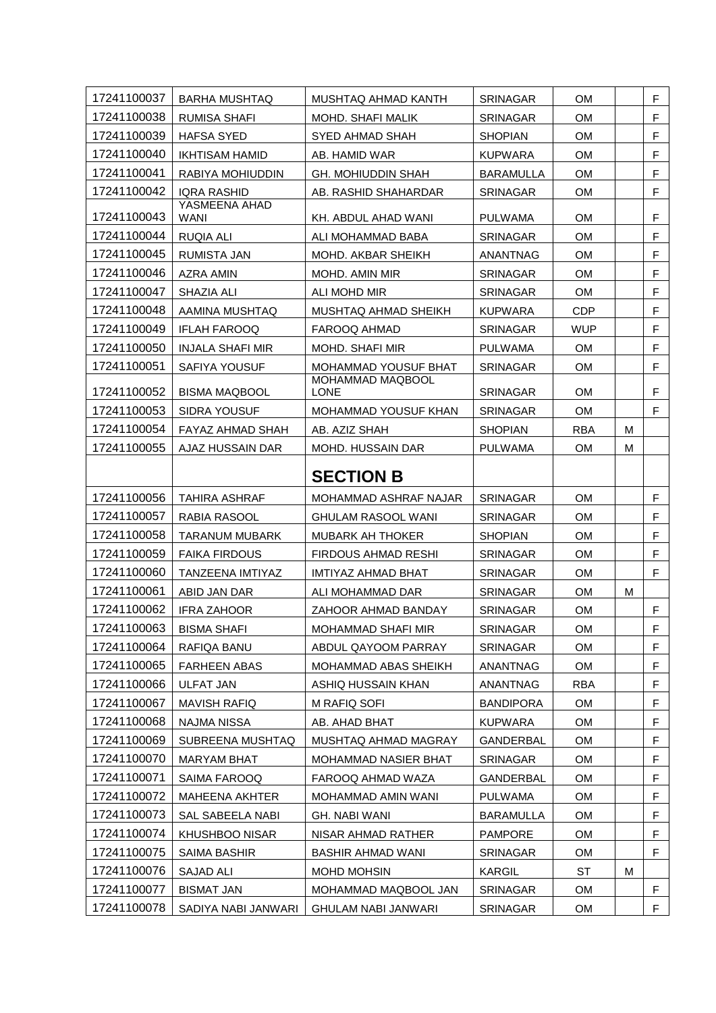| 17241100037 | <b>BARHA MUSHTAQ</b>         | MUSHTAQ AHMAD KANTH             | <b>SRINAGAR</b>  | <b>OM</b>  |   | F           |
|-------------|------------------------------|---------------------------------|------------------|------------|---|-------------|
| 17241100038 | <b>RUMISA SHAFI</b>          | <b>MOHD. SHAFI MALIK</b>        | <b>SRINAGAR</b>  | <b>OM</b>  |   | $\mathsf F$ |
| 17241100039 | <b>HAFSA SYED</b>            | SYED AHMAD SHAH                 | <b>SHOPIAN</b>   | <b>OM</b>  |   | F           |
| 17241100040 | <b>IKHTISAM HAMID</b>        | AB. HAMID WAR                   | <b>KUPWARA</b>   | OМ         |   | $\mathsf F$ |
| 17241100041 | RABIYA MOHIUDDIN             | <b>GH. MOHIUDDIN SHAH</b>       | <b>BARAMULLA</b> | <b>OM</b>  |   | $\mathsf F$ |
| 17241100042 | <b>IQRA RASHID</b>           | AB. RASHID SHAHARDAR            | <b>SRINAGAR</b>  | OМ         |   | $\mathsf F$ |
| 17241100043 | YASMEENA AHAD<br><b>WANI</b> | KH. ABDUL AHAD WANI             | <b>PULWAMA</b>   | <b>OM</b>  |   | F           |
| 17241100044 | <b>RUQIA ALI</b>             | ALI MOHAMMAD BABA               | <b>SRINAGAR</b>  | <b>OM</b>  |   | $\mathsf F$ |
| 17241100045 | <b>RUMISTA JAN</b>           | MOHD. AKBAR SHEIKH              | <b>ANANTNAG</b>  | OM         |   | $\mathsf F$ |
| 17241100046 | AZRA AMIN                    | MOHD. AMIN MIR                  | <b>SRINAGAR</b>  | <b>OM</b>  |   | $\mathsf F$ |
| 17241100047 | SHAZIA ALI                   | ALI MOHD MIR                    | <b>SRINAGAR</b>  | OМ         |   | $\mathsf F$ |
| 17241100048 | AAMINA MUSHTAQ               | MUSHTAQ AHMAD SHEIKH            | <b>KUPWARA</b>   | <b>CDP</b> |   | F           |
| 17241100049 | <b>IFLAH FAROOQ</b>          | FAROOQ AHMAD                    | <b>SRINAGAR</b>  | <b>WUP</b> |   | $\mathsf F$ |
| 17241100050 | <b>INJALA SHAFI MIR</b>      | <b>MOHD, SHAFI MIR</b>          | <b>PULWAMA</b>   | <b>OM</b>  |   | $\mathsf F$ |
| 17241100051 | SAFIYA YOUSUF                | MOHAMMAD YOUSUF BHAT            | <b>SRINAGAR</b>  | <b>OM</b>  |   | F           |
| 17241100052 | <b>BISMA MAQBOOL</b>         | MOHAMMAD MAQBOOL<br><b>LONE</b> | <b>SRINAGAR</b>  | <b>OM</b>  |   | F           |
| 17241100053 | <b>SIDRA YOUSUF</b>          | <b>MOHAMMAD YOUSUF KHAN</b>     | <b>SRINAGAR</b>  | <b>OM</b>  |   | F           |
| 17241100054 | FAYAZ AHMAD SHAH             | AB. AZIZ SHAH                   | <b>SHOPIAN</b>   | <b>RBA</b> | M |             |
| 17241100055 | AJAZ HUSSAIN DAR             | MOHD. HUSSAIN DAR               | <b>PULWAMA</b>   | <b>OM</b>  | М |             |
|             |                              | <b>SECTION B</b>                |                  |            |   |             |
| 17241100056 | TAHIRA ASHRAF                | MOHAMMAD ASHRAF NAJAR           | <b>SRINAGAR</b>  | <b>OM</b>  |   | F           |
|             |                              |                                 |                  |            |   |             |
| 17241100057 | RABIA RASOOL                 | <b>GHULAM RASOOL WANI</b>       | <b>SRINAGAR</b>  | <b>OM</b>  |   | $\mathsf F$ |
| 17241100058 | <b>TARANUM MUBARK</b>        | <b>MUBARK AH THOKER</b>         | <b>SHOPIAN</b>   | OМ         |   | F           |
| 17241100059 | <b>FAIKA FIRDOUS</b>         | <b>FIRDOUS AHMAD RESHI</b>      | <b>SRINAGAR</b>  | <b>OM</b>  |   | F           |
| 17241100060 | <b>TANZEENA IMTIYAZ</b>      | IMTIYAZ AHMAD BHAT              | <b>SRINAGAR</b>  | OМ         |   | $\mathsf F$ |
| 17241100061 | ABID JAN DAR                 | ALI MOHAMMAD DAR                | <b>SRINAGAR</b>  | <b>OM</b>  | M |             |
| 17241100062 | <b>IFRA ZAHOOR</b>           | ZAHOOR AHMAD BANDAY             | <b>SRINAGAR</b>  | OM         |   | F           |
| 17241100063 | <b>BISMA SHAFI</b>           | MOHAMMAD SHAFI MIR              | SRINAGAR         | OM         |   | F           |
| 17241100064 | RAFIQA BANU                  | ABDUL QAYOOM PARRAY             | <b>SRINAGAR</b>  | <b>OM</b>  |   | F.          |
| 17241100065 | <b>FARHEEN ABAS</b>          | MOHAMMAD ABAS SHEIKH            | ANANTNAG         | OM         |   | F           |
| 17241100066 | ULFAT JAN                    | ASHIQ HUSSAIN KHAN              | ANANTNAG         | RBA        |   | F           |
| 17241100067 | <b>MAVISH RAFIQ</b>          | M RAFIQ SOFI                    | <b>BANDIPORA</b> | <b>OM</b>  |   | F           |
| 17241100068 | NAJMA NISSA                  | AB. AHAD BHAT                   | <b>KUPWARA</b>   | OM         |   | F           |
| 17241100069 | SUBREENA MUSHTAQ             | MUSHTAQ AHMAD MAGRAY            | GANDERBAL        | OM         |   | F           |
| 17241100070 | <b>MARYAM BHAT</b>           | <b>MOHAMMAD NASIER BHAT</b>     | <b>SRINAGAR</b>  | <b>OM</b>  |   | F           |
| 17241100071 | SAIMA FAROOQ                 | FAROOQ AHMAD WAZA               | <b>GANDERBAL</b> | OM         |   | F           |
| 17241100072 | <b>MAHEENA AKHTER</b>        | MOHAMMAD AMIN WANI              | PULWAMA          | OM         |   | F           |
| 17241100073 | SAL SABEELA NABI             | GH. NABI WANI                   | <b>BARAMULLA</b> | <b>OM</b>  |   | F           |
| 17241100074 | <b>KHUSHBOO NISAR</b>        | NISAR AHMAD RATHER              | <b>PAMPORE</b>   | OM         |   | F           |
| 17241100075 | <b>SAIMA BASHIR</b>          | <b>BASHIR AHMAD WANI</b>        | <b>SRINAGAR</b>  | <b>OM</b>  |   | F.          |
| 17241100076 | SAJAD ALI                    | MOHD MOHSIN                     | KARGIL           | ST         | M |             |
| 17241100077 | <b>BISMAT JAN</b>            | MOHAMMAD MAQBOOL JAN            | SRINAGAR         | OM         |   | F           |